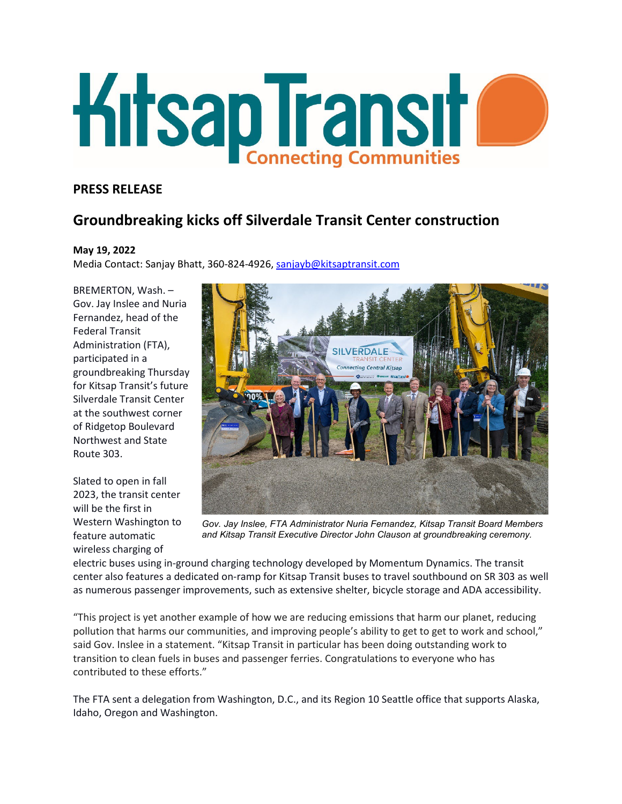

## **PRESS RELEASE**

## **Groundbreaking kicks off Silverdale Transit Center construction**

## **May 19, 2022**

Media Contact: Sanjay Bhatt, 360-824-4926, [sanjayb@kitsaptransit.com](mailto:sanjayb@kitsaptransit.com) 

BREMERTON, Wash. – Gov. Jay Inslee and Nuria Fernandez, head of the Federal Transit Administration (FTA), participated in a groundbreaking Thursday for Kitsap Transit's future Silverdale Transit Center at the southwest corner of Ridgetop Boulevard Northwest and State Route 303.

Slated to open in fall 2023, the transit center will be the first in Western Washington to feature automatic wireless charging of



*Gov. Jay Inslee, FTA Administrator Nuria Fernandez, Kitsap Transit Board Members and Kitsap Transit Executive Director John Clauson at groundbreaking ceremony.*

electric buses using in-ground charging technology developed by Momentum Dynamics. The transit center also features a dedicated on-ramp for Kitsap Transit buses to travel southbound on SR 303 as well as numerous passenger improvements, such as extensive shelter, bicycle storage and ADA accessibility.

"This project is yet another example of how we are reducing emissions that harm our planet, reducing pollution that harms our communities, and improving people's ability to get to get to work and school," said Gov. Inslee in a statement. "Kitsap Transit in particular has been doing outstanding work to transition to clean fuels in buses and passenger ferries. Congratulations to everyone who has contributed to these efforts."

The FTA sent a delegation from Washington, D.C., and its Region 10 Seattle office that supports Alaska, Idaho, Oregon and Washington.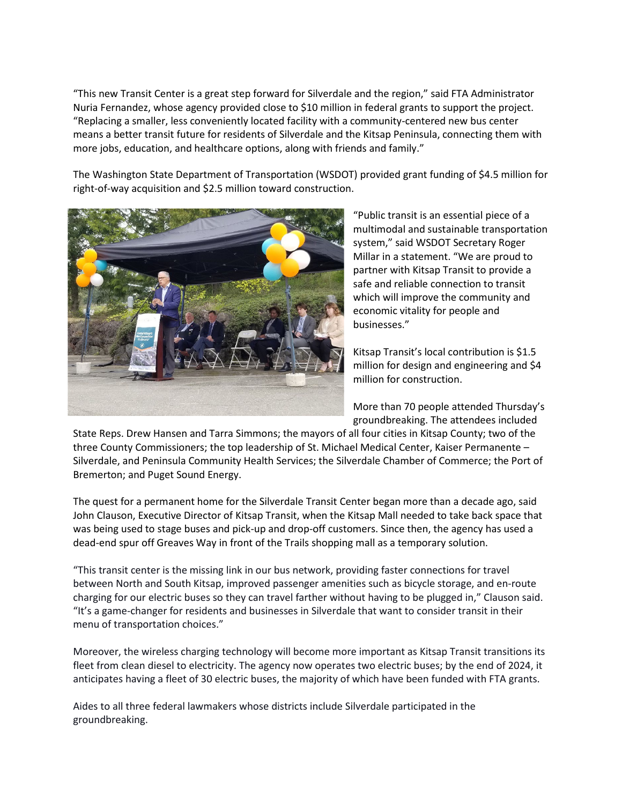"This new Transit Center is a great step forward for Silverdale and the region," said FTA Administrator Nuria Fernandez, whose agency provided close to \$10 million in federal grants to support the project. "Replacing a smaller, less conveniently located facility with a community-centered new bus center means a better transit future for residents of Silverdale and the Kitsap Peninsula, connecting them with more jobs, education, and healthcare options, along with friends and family."

The Washington State Department of Transportation (WSDOT) provided grant funding of \$4.5 million for right-of-way acquisition and \$2.5 million toward construction.



"Public transit is an essential piece of a multimodal and sustainable transportation system," said WSDOT Secretary Roger Millar in a statement. "We are proud to partner with Kitsap Transit to provide a safe and reliable connection to transit which will improve the community and economic vitality for people and businesses."

Kitsap Transit's local contribution is \$1.5 million for design and engineering and \$4 million for construction.

More than 70 people attended Thursday's groundbreaking. The attendees included

State Reps. Drew Hansen and Tarra Simmons; the mayors of all four cities in Kitsap County; two of the three County Commissioners; the top leadership of St. Michael Medical Center, Kaiser Permanente – Silverdale, and Peninsula Community Health Services; the Silverdale Chamber of Commerce; the Port of Bremerton; and Puget Sound Energy.

The quest for a permanent home for the Silverdale Transit Center began more than a decade ago, said John Clauson, Executive Director of Kitsap Transit, when the Kitsap Mall needed to take back space that was being used to stage buses and pick-up and drop-off customers. Since then, the agency has used a dead-end spur off Greaves Way in front of the Trails shopping mall as a temporary solution.

"This transit center is the missing link in our bus network, providing faster connections for travel between North and South Kitsap, improved passenger amenities such as bicycle storage, and en-route charging for our electric buses so they can travel farther without having to be plugged in," Clauson said. "It's a game-changer for residents and businesses in Silverdale that want to consider transit in their menu of transportation choices."

Moreover, the wireless charging technology will become more important as Kitsap Transit transitions its fleet from clean diesel to electricity. The agency now operates two electric buses; by the end of 2024, it anticipates having a fleet of 30 electric buses, the majority of which have been funded with FTA grants.

Aides to all three federal lawmakers whose districts include Silverdale participated in the groundbreaking.